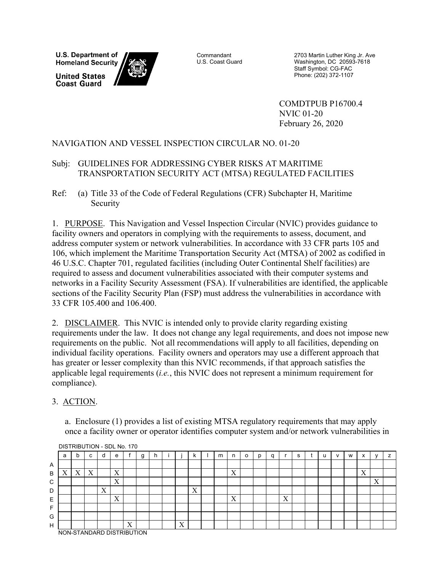**U.S. Department of Homeland Security** 

**United States Coast Guard** 



**Commandant** U.S. Coast Guard

2703 Martin Luther King Jr. Ave Washington, DC 20593-7618 Staff Symbol: CG-FAC Phone: (202) 372-1107

COMDTPUB P16700.4 NVIC 01-20 February 26, 2020

## NAVIGATION AND VESSEL INSPECTION CIRCULAR NO. 01-20

## Subj: GUIDELINES FOR ADDRESSING CYBER RISKS AT MARITIME TRANSPORTATION SECURITY ACT (MTSA) REGULATED FACILITIES

Ref: (a) Title 33 of the Code of Federal Regulations (CFR) Subchapter H, Maritime Security

1. PURPOSE. This Navigation and Vessel Inspection Circular (NVIC) provides guidance to facility owners and operators in complying with the requirements to assess, document, and address computer system or network vulnerabilities. In accordance with 33 CFR parts 105 and 106, which implement the Maritime Transportation Security Act (MTSA) of 2002 as codified in 46 U.S.C. Chapter 701, regulated facilities (including Outer Continental Shelf facilities) are required to assess and document vulnerabilities associated with their computer systems and networks in a Facility Security Assessment (FSA). If vulnerabilities are identified, the applicable sections of the Facility Security Plan (FSP) must address the vulnerabilities in accordance with 33 CFR 105.400 and 106.400.

2. DISCLAIMER. This NVIC is intended only to provide clarity regarding existing requirements under the law. It does not change any legal requirements, and does not impose new requirements on the public. Not all recommendations will apply to all facilities, depending on individual facility operations. Facility owners and operators may use a different approach that has greater or lesser complexity than this NVIC recommends, if that approach satisfies the applicable legal requirements (*i.e.*, this NVIC does not represent a minimum requirement for compliance).

## 3. ACTION.

a. Enclosure (1) provides a list of existing MTSA regulatory requirements that may apply once a facility owner or operator identifies computer system and/or network vulnerabilities in

|   | a                          | b                           | $\sim$<br>Ü | d                   | e                         |                   | g | n. |   | N                   | m | n                         | o | D | a |                           | s | u | v | W | $\checkmark$<br>$\lambda$ |                          |  |
|---|----------------------------|-----------------------------|-------------|---------------------|---------------------------|-------------------|---|----|---|---------------------|---|---------------------------|---|---|---|---------------------------|---|---|---|---|---------------------------|--------------------------|--|
| A |                            |                             |             |                     |                           |                   |   |    |   |                     |   |                           |   |   |   |                           |   |   |   |   |                           |                          |  |
| B | $\Lambda$                  | v<br>$\boldsymbol{\Lambda}$ | X           |                     | X                         |                   |   |    |   |                     |   | $\mathbf{v}$<br>$\Lambda$ |   |   |   |                           |   |   |   |   | $\mathbf{v}$<br>$\Lambda$ |                          |  |
| C |                            |                             |             |                     | $\mathbf{v}$<br>$\Lambda$ |                   |   |    |   |                     |   |                           |   |   |   |                           |   |   |   |   |                           | $\mathbf{v}$<br>$\bf{A}$ |  |
| D |                            |                             |             | $\tau$<br>$\Lambda$ |                           |                   |   |    |   | $\tau$<br>$\Lambda$ |   |                           |   |   |   |                           |   |   |   |   |                           |                          |  |
| E |                            |                             |             |                     | $\mathbf{v}$<br>$\Lambda$ |                   |   |    |   |                     |   | $\mathbf{v}$<br>$\Lambda$ |   |   |   | $\mathbf{v}$<br>$\Lambda$ |   |   |   |   |                           |                          |  |
|   |                            |                             |             |                     |                           |                   |   |    |   |                     |   |                           |   |   |   |                           |   |   |   |   |                           |                          |  |
| G |                            |                             |             |                     |                           |                   |   |    |   |                     |   |                           |   |   |   |                           |   |   |   |   |                           |                          |  |
| H |                            |                             |             |                     |                           | $\mathbf{v}$<br>A |   |    | X |                     |   |                           |   |   |   |                           |   |   |   |   |                           |                          |  |
|   | NON-STANDARD DISTRIBLITION |                             |             |                     |                           |                   |   |    |   |                     |   |                           |   |   |   |                           |   |   |   |   |                           |                          |  |

#### DISTRIBUTION - SDL No. 170

NON-STANDARD DISTRIBUTION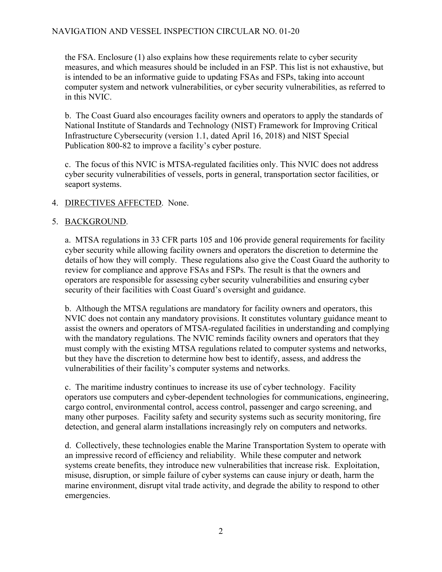## NAVIGATION AND VESSEL INSPECTION CIRCULAR NO. 01-20

the FSA. Enclosure (1) also explains how these requirements relate to cyber security measures, and which measures should be included in an FSP. This list is not exhaustive, but is intended to be an informative guide to updating FSAs and FSPs, taking into account computer system and network vulnerabilities, or cyber security vulnerabilities, as referred to in this NVIC.

b. The Coast Guard also encourages facility owners and operators to apply the standards of National Institute of Standards and Technology (NIST) Framework for Improving Critical Infrastructure Cybersecurity (version 1.1, dated April 16, 2018) and NIST Special Publication 800-82 to improve a facility's cyber posture.

c. The focus of this NVIC is MTSA-regulated facilities only. This NVIC does not address cyber security vulnerabilities of vessels, ports in general, transportation sector facilities, or seaport systems.

#### 4. DIRECTIVES AFFECTED. None.

#### 5. BACKGROUND.

a. MTSA regulations in 33 CFR parts 105 and 106 provide general requirements for facility cyber security while allowing facility owners and operators the discretion to determine the details of how they will comply. These regulations also give the Coast Guard the authority to review for compliance and approve FSAs and FSPs. The result is that the owners and operators are responsible for assessing cyber security vulnerabilities and ensuring cyber security of their facilities with Coast Guard's oversight and guidance.

b. Although the MTSA regulations are mandatory for facility owners and operators, this NVIC does not contain any mandatory provisions. It constitutes voluntary guidance meant to assist the owners and operators of MTSA-regulated facilities in understanding and complying with the mandatory regulations. The NVIC reminds facility owners and operators that they must comply with the existing MTSA regulations related to computer systems and networks, but they have the discretion to determine how best to identify, assess, and address the vulnerabilities of their facility's computer systems and networks.

c. The maritime industry continues to increase its use of cyber technology. Facility operators use computers and cyber-dependent technologies for communications, engineering, cargo control, environmental control, access control, passenger and cargo screening, and many other purposes. Facility safety and security systems such as security monitoring, fire detection, and general alarm installations increasingly rely on computers and networks.

d. Collectively, these technologies enable the Marine Transportation System to operate with an impressive record of efficiency and reliability. While these computer and network systems create benefits, they introduce new vulnerabilities that increase risk. Exploitation, misuse, disruption, or simple failure of cyber systems can cause injury or death, harm the marine environment, disrupt vital trade activity, and degrade the ability to respond to other emergencies.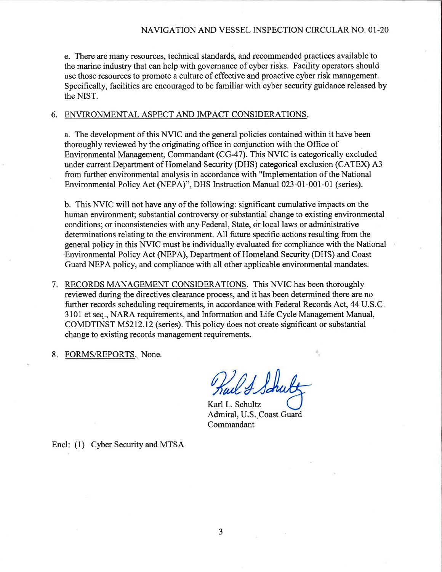e. There are many resources, technical standards, and recommended practices available to the marine industry that can help with governance of cyber risks. Facility operators should use those resources to promote a culture of effective and proactive cyber risk management. Specifically, facilities are encouraged to be familiar with cyber security guidance released by the NIST.

#### 6. ENVIRONMENTAL ASPECT AND IMPACT CONSIDERATIONS.

a. The development of this NVIC and the general policies contained within it have been thoroughly reviewed by the originating office in conjunction with the Office of Environmental Management, Commandant (CG-47). This NVIC is categorically excluded under current Department of Homeland Security (DHS) categorical exclusion (CATEX) A3 from further environmental analysis in accordance with "Implementation of the National Environmental Policy Act (NEPA)", DHS Instruction Manual 023-01-001-01 (series).

b. This NVIC will not have any of the following: significant cumulative impacts on the human environment; substantial controversy or substantial change to existing environmental conditions; or inconsistencies with any Federal, State, or local laws or administrative determinations relating to the environment. All future specific actions resulting from the general policy in this NVIC must be individually evaluated for compliance with the National Environmental Policy Act (NEPA), Department of Homeland Security (DHS) and Coast Guard NEPA policy, and compliance with all other applicable environmental mandates.

- 7. RECORDS MANAGEMENT CONSIDERATIONS. This NVIC has been thoroughly reviewed during the directives clearance process, and it has been determined there are no further records scheduling requirements, in accordance with Federal Records Act, 44 U.S.C. 3101 et seq., NARA requirements, and Information and Life Cycle Management Manual, COMDTINST M5212.12 (series). This policy does not create significant or substantial change to existing records management requirements.
- 8. FORMS/REPORTS. None.

24 Shu

Karl L. Schultz Admiral, U.S. Coast Guard Commandant

Encl: (1) Cyber Security and MTSA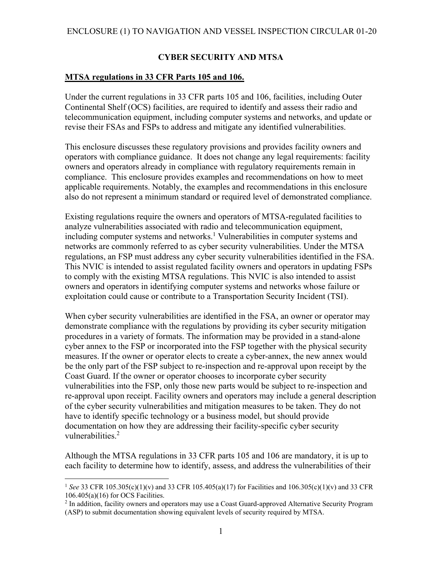## **CYBER SECURITY AND MTSA**

#### **MTSA regulations in 33 CFR Parts 105 and 106.**

Under the current regulations in 33 CFR parts 105 and 106, facilities, including Outer Continental Shelf (OCS) facilities, are required to identify and assess their radio and telecommunication equipment, including computer systems and networks, and update or revise their FSAs and FSPs to address and mitigate any identified vulnerabilities.

This enclosure discusses these regulatory provisions and provides facility owners and operators with compliance guidance. It does not change any legal requirements: facility owners and operators already in compliance with regulatory requirements remain in compliance. This enclosure provides examples and recommendations on how to meet applicable requirements. Notably, the examples and recommendations in this enclosure also do not represent a minimum standard or required level of demonstrated compliance.

Existing regulations require the owners and operators of MTSA-regulated facilities to analyze vulnerabilities associated with radio and telecommunication equipment, including computer systems and networks.<sup>1</sup> Vulnerabilities in computer systems and networks are commonly referred to as cyber security vulnerabilities. Under the MTSA regulations, an FSP must address any cyber security vulnerabilities identified in the FSA. This NVIC is intended to assist regulated facility owners and operators in updating FSPs to comply with the existing MTSA regulations. This NVIC is also intended to assist owners and operators in identifying computer systems and networks whose failure or exploitation could cause or contribute to a Transportation Security Incident (TSI).

When cyber security vulnerabilities are identified in the FSA, an owner or operator may demonstrate compliance with the regulations by providing its cyber security mitigation procedures in a variety of formats. The information may be provided in a stand-alone cyber annex to the FSP or incorporated into the FSP together with the physical security measures. If the owner or operator elects to create a cyber-annex, the new annex would be the only part of the FSP subject to re-inspection and re-approval upon receipt by the Coast Guard. If the owner or operator chooses to incorporate cyber security vulnerabilities into the FSP, only those new parts would be subject to re-inspection and re-approval upon receipt. Facility owners and operators may include a general description of the cyber security vulnerabilities and mitigation measures to be taken. They do not have to identify specific technology or a business model, but should provide documentation on how they are addressing their facility-specific cyber security vulnerabilities.<sup>2</sup>

Although the MTSA regulations in 33 CFR parts 105 and 106 are mandatory, it is up to each facility to determine how to identify, assess, and address the vulnerabilities of their

1

<sup>1</sup> *See* 33 CFR 105.305(c)(1)(v) and 33 CFR 105.405(a)(17) for Facilities and 106.305(c)(1)(v) and 33 CFR 106.405(a)(16) for OCS Facilities.

<sup>&</sup>lt;sup>2</sup> In addition, facility owners and operators may use a Coast Guard-approved Alternative Security Program (ASP) to submit documentation showing equivalent levels of security required by MTSA.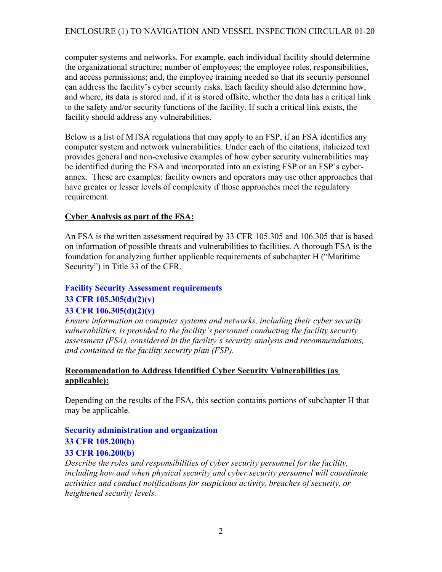computer systems and networks. For example, each individual facility should determine the organizational structure; number of employees; the employee roles, responsibilities, and access permissions; and, the employee training needed so that its security personnel can address the facility's cyber security risks. Each facility should also determine how, and where, its data is stored and, if it is stored offsite, whether the data has a critical link to the safety and/or security functions of the facility. If such a critical link exists, the facility should address any vulnerabilities.

Below is a list of MTSA regulations that may apply to an FSP, if an FSA identifies any computer system and network vulnerabilities. Under each of the citations, italicized text provides general and non-exclusive examples of how cyber security vulnerabilities may be identified during the FSA and incorporated into an existing FSP or an FSP's cyberannex. These are examples: facility owners and operators may use other approaches that have greater or lesser levels of complexity if those approaches meet the regulatory requirement.

## **Cyber Analysis as part of the FSA:**

An FSA is the written assessment required by 33 CFR 105.305 and 106.305 that is based on information of possible threats and vulnerabilities to facilities. A thorough FSA is the foundation for analyzing further applicable requirements of subchapter H ("Maritime Security") in Title 33 of the CFR.

## **Facility Security Assessment requirements**

## **33 CFR 105.305(d)(2)(v)**

## **33 CFR 106.305(d)(2)(v)**

*Ensure information on computer systems and networks, including their cyber security vulnerabilities, is provided to the facility's personnel conducting the facility security assessment (FSA), considered in the facility's security analysis and recommendations, and contained in the facility security plan (FSP).* 

## **Recommendation to Address Identified Cyber Security Vulnerabilities (as applicable):**

Depending on the results of the FSA, this section contains portions of subchapter H that may be applicable.

## **Security administration and organization 33 CFR 105.200(b) 33 CFR 106.200(b)**

*Describe the roles and responsibilities of cyber security personnel for the facility, including how and when physical security and cyber security personnel will coordinate activities and conduct notifications for suspicious activity, breaches of security, or heightened security levels.*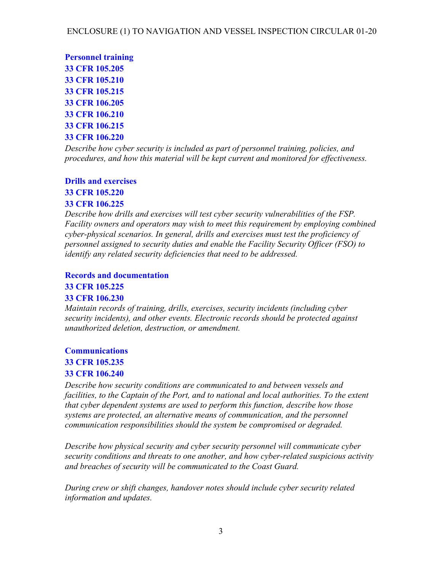**Personnel training 33 CFR 105.205 33 CFR 105.210 33 CFR 105.215 33 CFR 106.205 33 CFR 106.210 33 CFR 106.215 33 CFR 106.220** 

*Describe how cyber security is included as part of personnel training, policies, and procedures, and how this material will be kept current and monitored for effectiveness.* 

## **Drills and exercises**

**33 CFR 105.220** 

## **33 CFR 106.225**

*Describe how drills and exercises will test cyber security vulnerabilities of the FSP. Facility owners and operators may wish to meet this requirement by employing combined cyber-physical scenarios. In general, drills and exercises must test the proficiency of personnel assigned to security duties and enable the Facility Security Officer (FSO) to identify any related security deficiencies that need to be addressed.* 

## **Records and documentation**

## **33 CFR 105.225**

## **33 CFR 106.230**

*Maintain records of training, drills, exercises, security incidents (including cyber security incidents), and other events. Electronic records should be protected against unauthorized deletion, destruction, or amendment.* 

## **Communications**

## **33 CFR 105.235**

## **33 CFR 106.240**

*Describe how security conditions are communicated to and between vessels and facilities, to the Captain of the Port, and to national and local authorities. To the extent that cyber dependent systems are used to perform this function, describe how those systems are protected, an alternative means of communication, and the personnel communication responsibilities should the system be compromised or degraded.* 

*Describe how physical security and cyber security personnel will communicate cyber security conditions and threats to one another, and how cyber-related suspicious activity and breaches of security will be communicated to the Coast Guard.* 

*During crew or shift changes, handover notes should include cyber security related information and updates.*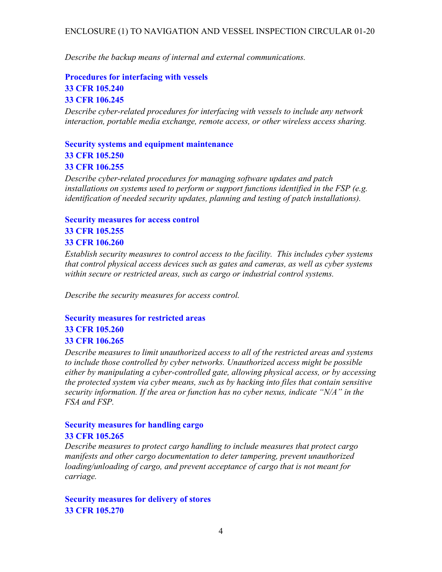## ENCLOSURE (1) TO NAVIGATION AND VESSEL INSPECTION CIRCULAR 01-20

*Describe the backup means of internal and external communications.* 

## **Procedures for interfacing with vessels 33 CFR 105.240 33 CFR 106.245**

*Describe cyber-related procedures for interfacing with vessels to include any network interaction, portable media exchange, remote access, or other wireless access sharing.* 

**Security systems and equipment maintenance 33 CFR 105.250 33 CFR 106.255** 

*Describe cyber-related procedures for managing software updates and patch installations on systems used to perform or support functions identified in the FSP (e.g. identification of needed security updates, planning and testing of patch installations).*

# **Security measures for access control**

## **33 CFR 105.255 33 CFR 106.260**

*Establish security measures to control access to the facility. This includes cyber systems that control physical access devices such as gates and cameras, as well as cyber systems within secure or restricted areas, such as cargo or industrial control systems.* 

*Describe the security measures for access control.* 

## **Security measures for restricted areas**

## **33 CFR 105.260 33 CFR 106.265**

*Describe measures to limit unauthorized access to all of the restricted areas and systems to include those controlled by cyber networks. Unauthorized access might be possible either by manipulating a cyber-controlled gate, allowing physical access, or by accessing the protected system via cyber means, such as by hacking into files that contain sensitive security information. If the area or function has no cyber nexus, indicate "N/A" in the FSA and FSP.* 

# **Security measures for handling cargo**

### **33 CFR 105.265**

*Describe measures to protect cargo handling to include measures that protect cargo manifests and other cargo documentation to deter tampering, prevent unauthorized loading/unloading of cargo, and prevent acceptance of cargo that is not meant for carriage.* 

**Security measures for delivery of stores 33 CFR 105.270**